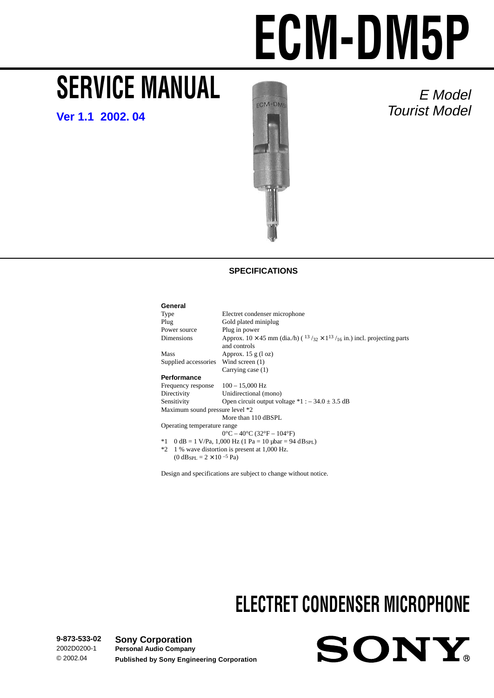# **ECM-DM5P**

# <span id="page-0-0"></span>**SERVICE MANUAL**



E Model Tourist Model **[Ver 1.1 2002.](#page-3-0) <sup>04</sup>**

#### **SPECIFICATIONS**

| General                                           |                                                                                                                |
|---------------------------------------------------|----------------------------------------------------------------------------------------------------------------|
| Type                                              | Electret condenser microphone                                                                                  |
| Plug                                              | Gold plated miniplug                                                                                           |
| Power source                                      | Plug in power                                                                                                  |
| Dimensions                                        | Approx. $10 \times 45$ mm (dia./h) ( $13 /_{32} \times 113 /_{16}$ in.) incl. projecting parts<br>and controls |
| <b>Mass</b>                                       | Approx. $15 g (1 oz)$                                                                                          |
| Supplied accessories Wind screen (1)              |                                                                                                                |
|                                                   | Carrying case (1)                                                                                              |
| <b>Performance</b>                                |                                                                                                                |
| Frequency response                                | $100 - 15,000$ Hz                                                                                              |
| Directivity                                       | Unidirectional (mono)                                                                                          |
| Sensitivity                                       | Open circuit output voltage $*1: -34.0 \pm 3.5$ dB                                                             |
| Maximum sound pressure level *2                   |                                                                                                                |
|                                                   | More than 110 dBSPL                                                                                            |
| Operating temperature range                       |                                                                                                                |
|                                                   | $0^{\circ}$ C – 40°C (32°F – 104°F)                                                                            |
| $*1$                                              | $0 dB = 1 V/Pa$ , 1,000 Hz (1 Pa = 10 $\mu$ bar = 94 dBspL)                                                    |
| $*2$                                              | 1 % wave distortion is present at 1,000 Hz.                                                                    |
| $(0 \text{ dBsPL} = 2 \times 10^{-5} \text{ Pa})$ |                                                                                                                |
|                                                   | Design and specifications are subject to change without notice.                                                |

# **ELECTRET CONDENSER MICROPHONE**

**9-873-533-02** 2002D0200-1 © 2002.04 **Sony Corporation Personal Audio Company Published by Sony Engineering Corporation**

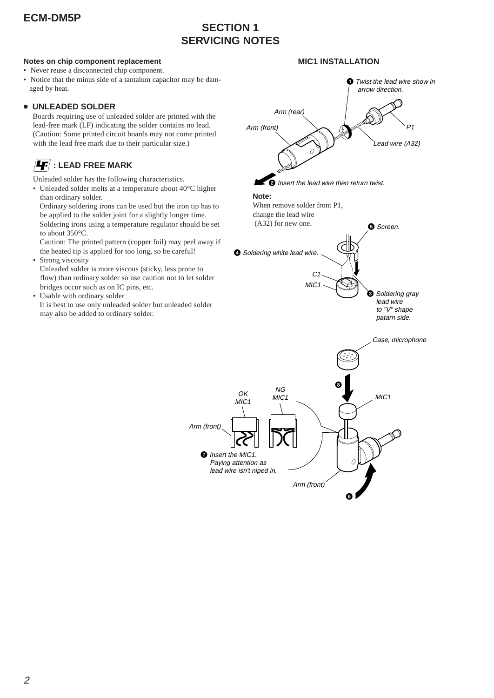## **SECTION 1 SERVICING NOTES**

#### **Notes on chip component replacement**

- Never reuse a disconnected chip component.
- Notice that the minus side of a tantalum capacitor may be damaged by heat.

#### <sup>z</sup> **UNLEADED SOLDER**

Boards requiring use of unleaded solder are printed with the lead-free mark (LF) indicating the solder contains no lead. (Caution: Some printed circuit boards may not come printed with the lead free mark due to their particular size.)

# $\vert\mathbf{L} \mathbf{F}\vert$  : LEAD FREE MARK

Unleaded solder has the following characteristics.

• Unleaded solder melts at a temperature about 40°C higher than ordinary solder.

Ordinary soldering irons can be used but the iron tip has to be applied to the solder joint for a slightly longer time. Soldering irons using a temperature regulator should be set to about 350°C.

Caution: The printed pattern (copper foil) may peel away if the heated tip is applied for too long, so be careful!

• Strong viscosity

Unleaded solder is more viscous (sticky, less prone to flow) than ordinary solder so use caution not to let solder bridges occur such as on IC pins, etc.

• Usable with ordinary solder It is best to use only unleaded solder but unleaded solder may also be added to ordinary solder.



**MIC1 INSTALLATION**

6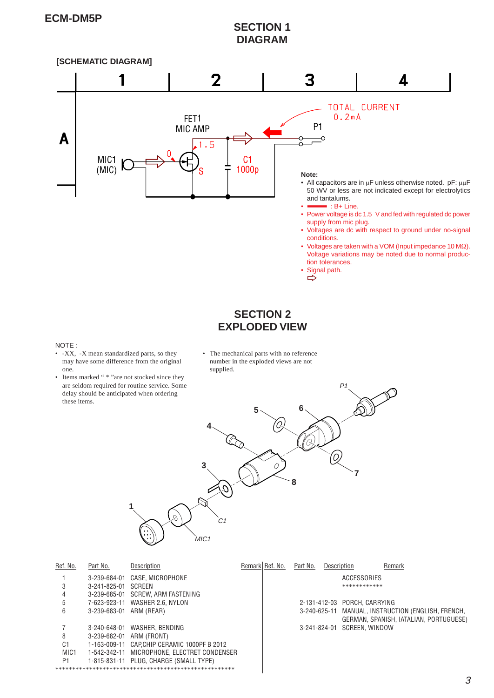#### **SECTION 1 DIAGRAM**



### **SECTION 2 EXPLODED VIEW**

#### NOTE :

- -XX, -X mean standardized parts, so they may have some difference from the original one.
- Items marked " \* "are not stocked since they are seldom required for routine service. Some delay should be anticipated when ordering these items.

\*\*\*\*\*\*\*\*\*\*\*\*\*\*\*\*\*\*\*\*\*\*\*\*\*\*\*\*\*\*\*\*\*\*\*\*\*\*\*\*\*\*\*\*\*\*\*\*\*\*\*\*\*

• The mechanical parts with no reference number in the exploded views are not supplied.



| Ref. No.         | Part No.                | Description                                  | Remark Ref. No. | Part No. | Description |                              | Remark                                             |
|------------------|-------------------------|----------------------------------------------|-----------------|----------|-------------|------------------------------|----------------------------------------------------|
|                  |                         | 3-239-684-01 CASE, MICROPHONE                |                 |          |             | <b>ACCESSORIES</b>           |                                                    |
|                  | 3-241-825-01 SCREEN     |                                              |                 |          |             | ************                 |                                                    |
| 4                |                         | 3-239-685-01 SCREW, ARM FASTENING            |                 |          |             |                              |                                                    |
| 5                |                         | 7-623-923-11 WASHER 2.6, NYLON               |                 |          |             | 2-131-412-03 PORCH, CARRYING |                                                    |
| 6                | 3-239-683-01 ARM (REAR) |                                              |                 |          |             |                              | 3-240-625-11 MANUAL, INSTRUCTION (ENGLISH, FRENCH, |
|                  |                         |                                              |                 |          |             |                              | GERMAN, SPANISH, IATALIAN, PORTUGUESE)             |
|                  |                         | 3-240-648-01 WASHER, BENDING                 |                 |          |             | 3-241-824-01 SCREEN, WINDOW  |                                                    |
| 8                |                         | 3-239-682-01 ARM (FRONT)                     |                 |          |             |                              |                                                    |
| C1               |                         | 1-163-009-11 CAP, CHIP CERAMIC 1000PF B 2012 |                 |          |             |                              |                                                    |
| MIC <sub>1</sub> |                         | 1-542-342-11 MICROPHONE, ELECTRET CONDENSER  |                 |          |             |                              |                                                    |
| P1               |                         | 1-815-831-11 PLUG. CHARGE (SMALL TYPE)       |                 |          |             |                              |                                                    |